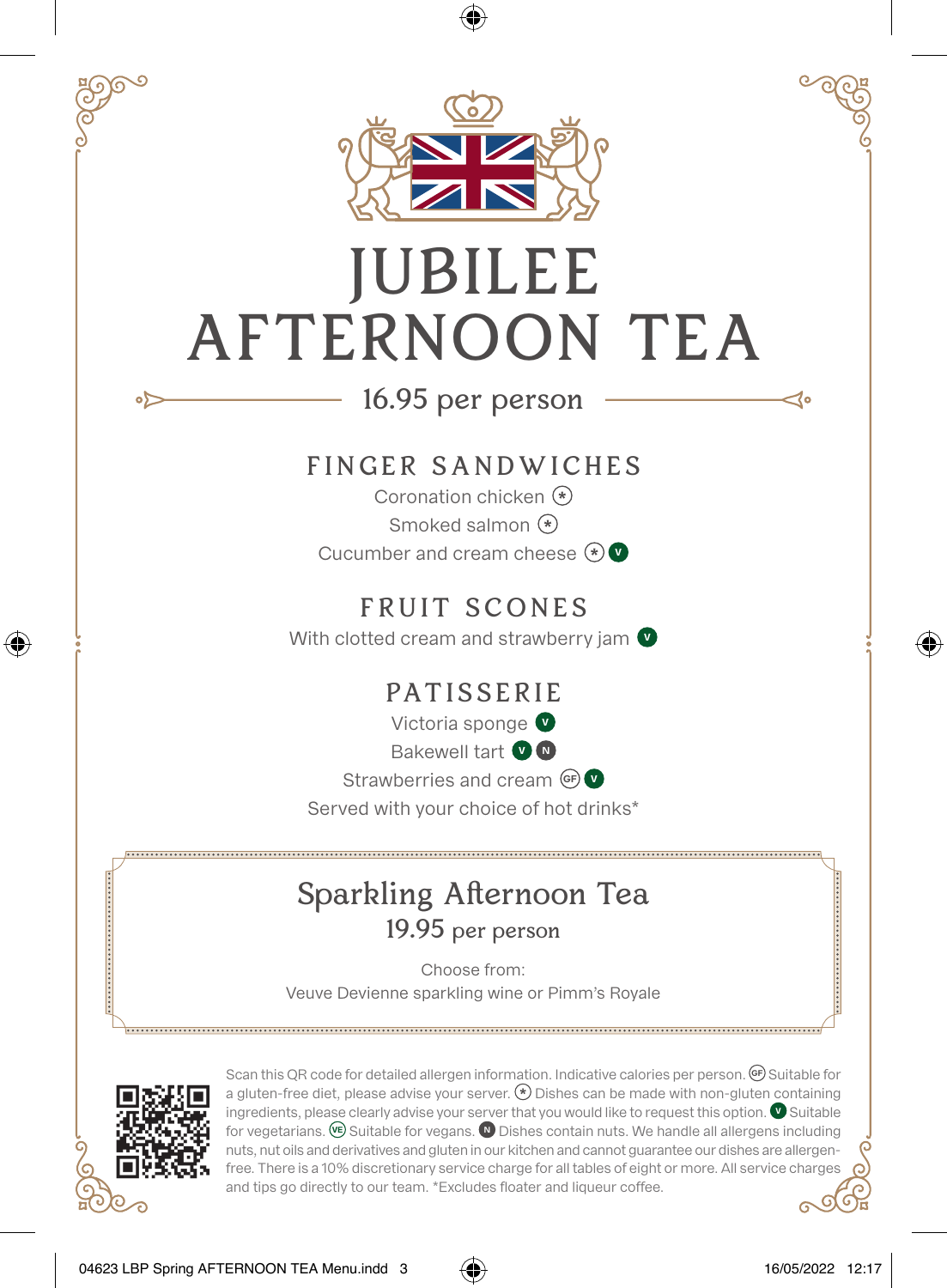

## JUBILEE AFTERNOON TEA

## 16.95 per person

## FINGER SANDWICHES

Coronation chicken **\*** Smoked salmon **\*** Cucumber and cream cheese **\* <sup>V</sup>**

FRUIT SCONES With clotted cream and strawberry jam **<sup>V</sup>**

PATISSERIE

Victoria sponge **<sup>V</sup>** Bakewell tart **<sup>V</sup> <sup>N</sup>** Strawberries and cream **GF**  $\bullet$ Served with your choice of hot drinks\*

## Sparkling Afternoon Tea 19.95 per person

Choose from: Veuve Devienne sparkling wine or Pimm's Royale



∘⊳

⊕

Scan this QR code for detailed allergen information. Indicative calories per person. **GF** Suitable for a gluten-free diet, please advise your server. **\*** Dishes can be made with non-gluten containing ingredients, please clearly advise your server that you would like to request this option. **V** Suitable for vegetarians. **VE** Suitable for vegans. **N** Dishes contain nuts. We handle all allergens including nuts, nut oils and derivatives and gluten in our kitchen and cannot guarantee our dishes are allergenfree. There is a 10% discretionary service charge for all tables of eight or more. All service charges and tips go directly to our team. \*Excludes floater and liqueur coffee.